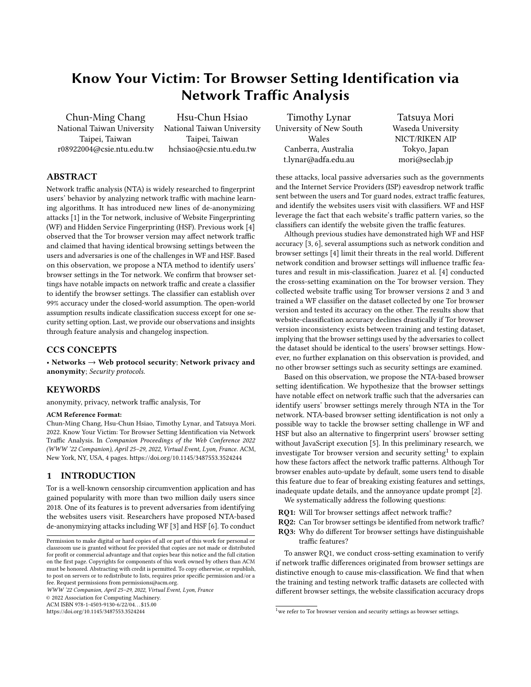# Know Your Victim: Tor Browser Setting Identification via Network Traffic Analysis

Chun-Ming Chang National Taiwan University Taipei, Taiwan r08922004@csie.ntu.edu.tw

Hsu-Chun Hsiao National Taiwan University Taipei, Taiwan hchsiao@csie.ntu.edu.tw

Timothy Lynar University of New South Wales Canberra, Australia t.lynar@adfa.edu.au

Tatsuya Mori Waseda University NICT/RIKEN AIP Tokyo, Japan mori@seclab.jp

# ABSTRACT

Network traffic analysis (NTA) is widely researched to fingerprint users' behavior by analyzing network traffic with machine learning algorithms. It has introduced new lines of de-anonymizing attacks [\[1\]](#page-3-0) in the Tor network, inclusive of Website Fingerprinting (WF) and Hidden Service Fingerprinting (HSF). Previous work [\[4\]](#page-3-1) observed that the Tor browser version may affect network traffic and claimed that having identical browsing settings between the users and adversaries is one of the challenges in WF and HSF. Based on this observation, we propose a NTA method to identify users' browser settings in the Tor network. We confirm that browser settings have notable impacts on network traffic and create a classifier to identify the browser settings. The classifier can establish over 99% accuracy under the closed-world assumption. The open-world assumption results indicate classification success except for one security setting option. Last, we provide our observations and insights through feature analysis and changelog inspection.

#### CCS CONCEPTS

• Networks  $\rightarrow$  Web protocol security; Network privacy and anonymity; Security protocols.

#### KEYWORDS

anonymity, privacy, network traffic analysis, Tor

#### ACM Reference Format:

Chun-Ming Chang, Hsu-Chun Hsiao, Timothy Lynar, and Tatsuya Mori. 2022. Know Your Victim: Tor Browser Setting Identification via Network Traffic Analysis. In Companion Proceedings of the Web Conference 2022 (WWW '22 Companion), April 25–29, 2022, Virtual Event, Lyon, France. ACM, New York, NY, USA, [4](#page-3-2) pages.<https://doi.org/10.1145/3487553.3524244>

# 1 INTRODUCTION

Tor is a well-known censorship circumvention application and has gained popularity with more than two million daily users since 2018. One of its features is to prevent adversaries from identifying the websites users visit. Researchers have proposed NTA-based de-anonymizying attacks including WF [\[3\]](#page-3-3) and HSF [\[6\]](#page-3-4). To conduct

WWW '22 Companion, April 25–29, 2022, Virtual Event, Lyon, France

© 2022 Association for Computing Machinery.

ACM ISBN 978-1-4503-9130-6/22/04. . . \$15.00

<https://doi.org/10.1145/3487553.3524244>

these attacks, local passive adversaries such as the governments and the Internet Service Providers (ISP) eavesdrop network traffic sent between the users and Tor guard nodes, extract traffic features, and identify the websites users visit with classifiers. WF and HSF leverage the fact that each website's traffic pattern varies, so the classifiers can identify the website given the traffic features.

Although previous studies have demonstrated high WF and HSF accuracy [\[3,](#page-3-3) [6\]](#page-3-4), several assumptions such as network condition and browser settings [\[4\]](#page-3-1) limit their threats in the real world. Different network condition and browser settings will influence traffic features and result in mis-classification. Juarez et al. [\[4\]](#page-3-1) conducted the cross-setting examination on the Tor browser version. They collected website traffic using Tor browser versions 2 and 3 and trained a WF classifier on the dataset collected by one Tor browser version and tested its accuracy on the other. The results show that website-classification accuracy declines drastically if Tor browser version inconsistency exists between training and testing dataset, implying that the browser settings used by the adversaries to collect the dataset should be identical to the users' browser settings. However, no further explanation on this observation is provided, and no other browser settings such as security settings are examined.

Based on this observation, we propose the NTA-based browser setting identification. We hypothesize that the browser settings have notable effect on network traffic such that the adversaries can identify users' browser settings merely through NTA in the Tor network. NTA-based browser setting identification is not only a possible way to tackle the browser setting challenge in WF and HSF but also an alternative to fingerprint users' browser setting without JavaScript execution [\[5\]](#page-3-5). In this preliminary research, we investigate Tor browser version and security setting<sup>[1](#page-0-0)</sup> to explain how these factors affect the network traffic patterns. Although Tor browser enables auto-update by default, some users tend to disable this feature due to fear of breaking existing features and settings, inadequate update details, and the annoyance update prompt [\[2\]](#page-3-6).

We systematically address the following questions:

- RQ1: Will Tor browser settings affect network traffic?
- RQ2: Can Tor browser settings be identified from network traffic? RQ3: Why do different Tor browser settings have distinguishable traffic features?

To answer RQ1, we conduct cross-setting examination to verify if network traffic differences originated from browser settings are distinctive enough to cause mis-classification. We find that when the training and testing network traffic datasets are collected with different browser settings, the website classification accuracy drops

Permission to make digital or hard copies of all or part of this work for personal or classroom use is granted without fee provided that copies are not made or distributed for profit or commercial advantage and that copies bear this notice and the full citation on the first page. Copyrights for components of this work owned by others than ACM must be honored. Abstracting with credit is permitted. To copy otherwise, or republish, to post on servers or to redistribute to lists, requires prior specific permission and/or a fee. Request permissions from permissions@acm.org.

<span id="page-0-0"></span> $1$  we refer to Tor browser version and security settings as browser settings.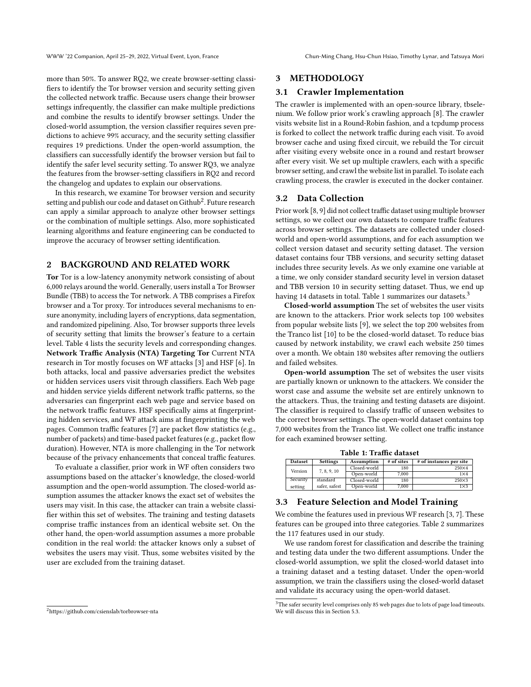more than 50%. To answer RQ2, we create browser-setting classifiers to identify the Tor browser version and security setting given the collected network traffic. Because users change their browser settings infrequently, the classifier can make multiple predictions and combine the results to identify browser settings. Under the closed-world assumption, the version classifier requires seven predictions to achieve 99% accuracy, and the security setting classifier requires 19 predictions. Under the open-world assumption, the classifiers can successfully identify the browser version but fail to identify the safer level security setting. To answer RQ3, we analyze the features from the browser-setting classifiers in RQ2 and record the changelog and updates to explain our observations.

In this research, we examine Tor browser version and security setting and publish our code and dataset on Github $^2$  $^2$ . Future research can apply a similar approach to analyze other browser settings or the combination of multiple settings. Also, more sophisticated learning algorithms and feature engineering can be conducted to improve the accuracy of browser setting identification.

# 2 BACKGROUND AND RELATED WORK

Tor Tor is a low-latency anonymity network consisting of about 6,000 relays around the world. Generally, users install a Tor Browser Bundle (TBB) to access the Tor network. A TBB comprises a Firefox browser and a Tor proxy. Tor introduces several mechanisms to ensure anonymity, including layers of encryptions, data segmentation, and randomized pipelining. Also, Tor browser supports three levels of security setting that limits the browser's feature to a certain level. Table [4](#page-3-7) lists the security levels and corresponding changes. Network Traffic Analysis (NTA) Targeting Tor Current NTA research in Tor mostly focuses on WF attacks [\[3\]](#page-3-3) and HSF [\[6\]](#page-3-4). In both attacks, local and passive adversaries predict the websites or hidden services users visit through classifiers. Each Web page and hidden service yields different network traffic patterns, so the adversaries can fingerprint each web page and service based on the network traffic features. HSF specifically aims at fingerprinting hidden services, and WF attack aims at fingerprinting the web pages. Common traffic features [\[7\]](#page-3-8) are packet flow statistics (e.g., number of packets) and time-based packet features (e.g., packet flow duration). However, NTA is more challenging in the Tor network because of the privacy enhancements that conceal traffic features.

To evaluate a classifier, prior work in WF often considers two assumptions based on the attacker's knowledge, the closed-world assumption and the open-world assumption. The closed-world assumption assumes the attacker knows the exact set of websites the users may visit. In this case, the attacker can train a website classifier within this set of websites. The training and testing datasets comprise traffic instances from an identical website set. On the other hand, the open-world assumption assumes a more probable condition in the real world: the attacker knows only a subset of websites the users may visit. Thus, some websites visited by the user are excluded from the training dataset.

#### 3 METHODOLOGY

#### 3.1 Crawler Implementation

The crawler is implemented with an open-source library, tbselenium. We follow prior work's crawling approach [\[8\]](#page-3-9). The crawler visits website list in a Round-Robin fashion, and a tcpdump process is forked to collect the network traffic during each visit. To avoid browser cache and using fixed circuit, we rebuild the Tor circuit after visiting every website once in a round and restart browser after every visit. We set up multiple crawlers, each with a specific browser setting, and crawl the website list in parallel. To isolate each crawling process, the crawler is executed in the docker container.

## 3.2 Data Collection

Prior work [\[8,](#page-3-9) [9\]](#page-3-10) did not collect traffic dataset using multiple browser settings, so we collect our own datasets to compare traffic features across browser settings. The datasets are collected under closedworld and open-world assumptions, and for each assumption we collect version dataset and security setting dataset. The version dataset contains four TBB versions, and security setting dataset includes three security levels. As we only examine one variable at a time, we only consider standard security level in version dataset and TBB version 10 in security setting dataset. Thus, we end up having [1](#page-1-1)4 datasets in total. Table 1 summarizes our datasets.<sup>[3](#page-1-2)</sup>

Closed-world assumption The set of websites the user visits are known to the attackers. Prior work selects top 100 websites from popular website lists [\[9\]](#page-3-10), we select the top 200 websites from the Tranco list [\[10\]](#page-3-11) to be the closed-world dataset. To reduce bias caused by network instability, we crawl each website 250 times over a month. We obtain 180 websites after removing the outliers and failed websites.

Open-world assumption The set of websites the user visits are partially known or unknown to the attackers. We consider the worst case and assume the website set are entirely unknown to the attackers. Thus, the training and testing datasets are disjoint. The classifier is required to classify traffic of unseen websites to the correct browser settings. The open-world dataset contains top 7,000 websites from the Tranco list. We collect one traffic instance for each examined browser setting.

Table 1: Traffic dataset

<span id="page-1-1"></span>

| <b>Dataset</b> | <b>Settings</b> | <b>Assumption</b> | # of sites | # of instances per site |
|----------------|-----------------|-------------------|------------|-------------------------|
| Version        | 7, 8, 9, 10     | Closed-world      | 180        | 250×4                   |
|                |                 | Open-world        | 7.000      | $1\times4$              |
| Security       | standard        | Closed-world      | 180        | 250×3                   |
| setting        | safer, safest   | Open-world        | 7.000      | $1\times3$              |

# 3.3 Feature Selection and Model Training

We combine the features used in previous WF research [\[3,](#page-3-3) [7\]](#page-3-8). These features can be grouped into three categories. Table [2](#page-2-0) summarizes the 117 features used in our study.

We use random forest for classification and describe the training and testing data under the two different assumptions. Under the closed-world assumption, we split the closed-world dataset into a training dataset and a testing dataset. Under the open-world assumption, we train the classifiers using the closed-world dataset and validate its accuracy using the open-world dataset.

<span id="page-1-0"></span><sup>2</sup>https://github.com/csienslab/torbrowser-nta

<span id="page-1-2"></span> ${}^{3}$  The safer security level comprises only 85 web pages due to lots of page load timeouts. We will discuss this in Section [5.3.](#page-3-12)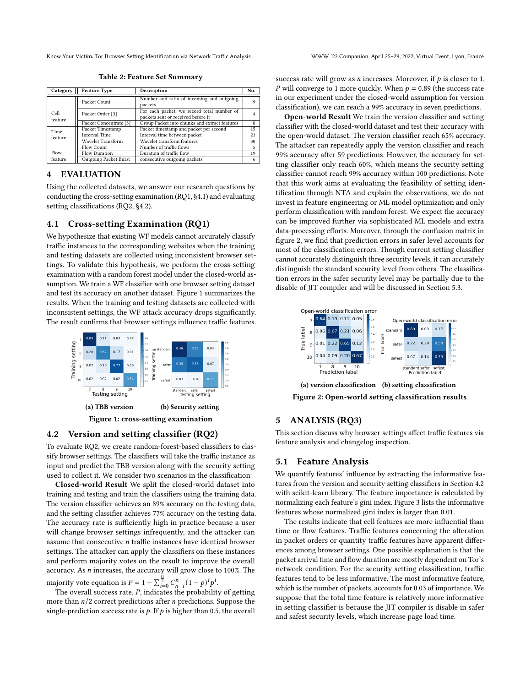<span id="page-2-0"></span>Know Your Victim: Tor Browser Setting Identification via Network Traffic Analysis WWW '22 Companion, April 25–29, 2022, Virtual Event, Lyon, France

Table 2: Feature Set Summary

| Category        | <b>Feature Type</b>          | <b>Description</b>                                                               | No. |
|-----------------|------------------------------|----------------------------------------------------------------------------------|-----|
|                 | Packet Count                 | Number and ratio of incoming and outgoing<br>packets                             |     |
| Cell<br>feature | Packet Order <sup>[3]</sup>  | For each packet, we record total number of<br>packets sent or received before it |     |
|                 | Packet Concentrate [3]       | Group Packet into chunks and extract features                                    | 8   |
| Time<br>feature | Packet Timestamp             | Packet timestamp and packet per second                                           | 15  |
|                 | <b>Interval Time</b>         | Interval time between packet                                                     | 21  |
|                 | <b>Wavelet Transform</b>     | Wavelet transform features                                                       | 30  |
| Flow            | Flow Count                   | Number of traffic flows                                                          | 5   |
|                 | <b>Flow Duration</b>         | Duration of traffic flow                                                         | 19  |
| feature         | <b>Outgoing Packet Burst</b> | consecutive outgoing packets                                                     | 6   |

# 4 EVALUATION

Using the collected datasets, we answer our research questions by conducting the cross-setting examination (RQ1, [§4.1\)](#page-2-1) and evaluating setting classifications (RQ2, [§4.2\)](#page-2-2).

#### <span id="page-2-1"></span>4.1 Cross-setting Examination (RQ1)

We hypothesize that existing WF models cannot accurately classify traffic instances to the corresponding websites when the training and testing datasets are collected using inconsistent browser settings. To validate this hypothesis, we perform the cross-setting examination with a random forest model under the closed-world assumption. We train a WF classifier with one browser setting dataset and test its accuracy on another dataset. Figure [1](#page-2-3) summarizes the results. When the training and testing datasets are collected with inconsistent settings, the WF attack accuracy drops significantly. The result confirms that browser settings influence traffic features.

<span id="page-2-3"></span>

#### <span id="page-2-2"></span>4.2 Version and setting classifier (RQ2)

To evaluate RQ2, we create random-forest-based classifiers to classify browser settings. The classifiers will take the traffic instance as input and predict the TBB version along with the security setting used to collect it. We consider two scenarios in the classification:

Closed-world Result We split the closed-world dataset into training and testing and train the classifiers using the training data. The version classifier achieves an 89% accuracy on the testing data, and the setting classifier achieves 77% accuracy on the testing data. The accuracy rate is sufficiently high in practice because a user will change browser settings infrequently, and the attacker can assume that consecutive *n* traffic instances have identical browser settings. The attacker can apply the classifiers on these instances and perform majority votes on the result to improve the overall accuracy. As *n* increases, the accuracy will grow close to 100%. The majority vote equation is  $P = 1 - \sum_{i=0}^{h} C_{n-i}^{n} (1-p)^{i} p^{i}$ .

The overall success rate,  $P$ , indicates the probability of getting more than  $n/2$  correct predictions after  $n$  predictions. Suppose the single-prediction success rate is  $p$ . If  $p$  is higher than 0.5, the overall success rate will grow as *n* increases. Moreover, if  $p$  is closer to 1, P will converge to 1 more quickly. When  $p = 0.89$  (the success rate in our experiment under the closed-world assumption for version classification), we can reach a 99% accuracy in seven predictions.

Open-world Result We train the version classifier and setting classifier with the closed-world dataset and test their accuracy with the open-world dataset. The version classifier reach 65% accuracy. The attacker can repeatedly apply the version classifier and reach 99% accuracy after 59 predictions. However, the accuracy for setting classifier only reach 60%, which means the security setting classifier cannot reach 99% accuracy within 100 predictions. Note that this work aims at evaluating the feasibility of setting identification through NTA and explain the observations, we do not invest in feature engineering or ML model optimization and only perform classification with random forest. We expect the accuracy can be improved further via sophisticated ML models and extra data-processing efforts. Moreover, through the confusion matrix in figure [2,](#page-2-4) we find that prediction errors in safer level accounts for most of the classification errors. Though current setting classifier cannot accurately distinguish three security levels, it can accurately distinguish the standard security level from others. The classification errors in the safer security level may be partially due to the disable of JIT compiler and will be discussed in Section [5.3.](#page-3-12)

<span id="page-2-4"></span>

(a) version classification (b) setting classification Figure 2: Open-world setting classification results

# 5 ANALYSIS (RQ3)

This section discuss why browser settings affect traffic features via feature analysis and changelog inspection.

## 5.1 Feature Analysis

We quantify features' influence by extracting the informative features from the version and security setting classifiers in Section [4.2](#page-2-2) with scikit-learn library. The feature importance is calculated by normalizing each feature's gini index. Figure [3](#page-3-13) lists the informative features whose normalized gini index is larger than 0.01.

The results indicate that cell features are more influential than time or flow features. Traffic features concerning the alteration in packet orders or quantity traffic features have apparent differences among browser settings. One possible explanation is that the packet arrival time and flow duration are mostly dependent on Tor's network condition. For the security setting classification, traffic features tend to be less informative. The most informative feature, which is the number of packets, accounts for 0.03 of importance. We suppose that the total time feature is relatively more informative in setting classifier is because the JIT compiler is disable in safer and safest security levels, which increase page load time.